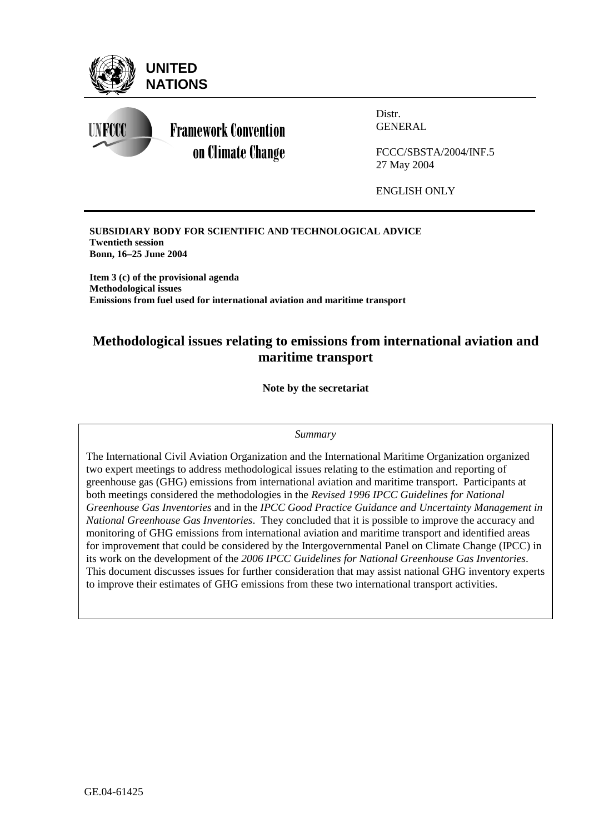

**SUBSIDIARY BODY FOR SCIENTIFIC AND TECHNOLOGICAL ADVICE Twentieth session Bonn, 16–25 June 2004** 

**Item 3 (c) of the provisional agenda Methodological issues Emissions from fuel used for international aviation and maritime transport** 

# **Methodological issues relating to emissions from international aviation and maritime transport**

**Note by the secretariat** 

#### *Summary*

The International Civil Aviation Organization and the International Maritime Organization organized two expert meetings to address methodological issues relating to the estimation and reporting of greenhouse gas (GHG) emissions from international aviation and maritime transport. Participants at both meetings considered the methodologies in the *Revised 1996 IPCC Guidelines for National Greenhouse Gas Inventories* and in the *IPCC Good Practice Guidance and Uncertainty Management in National Greenhouse Gas Inventories*. They concluded that it is possible to improve the accuracy and monitoring of GHG emissions from international aviation and maritime transport and identified areas for improvement that could be considered by the Intergovernmental Panel on Climate Change (IPCC) in its work on the development of the *2006 IPCC Guidelines for National Greenhouse Gas Inventories*. This document discusses issues for further consideration that may assist national GHG inventory experts to improve their estimates of GHG emissions from these two international transport activities.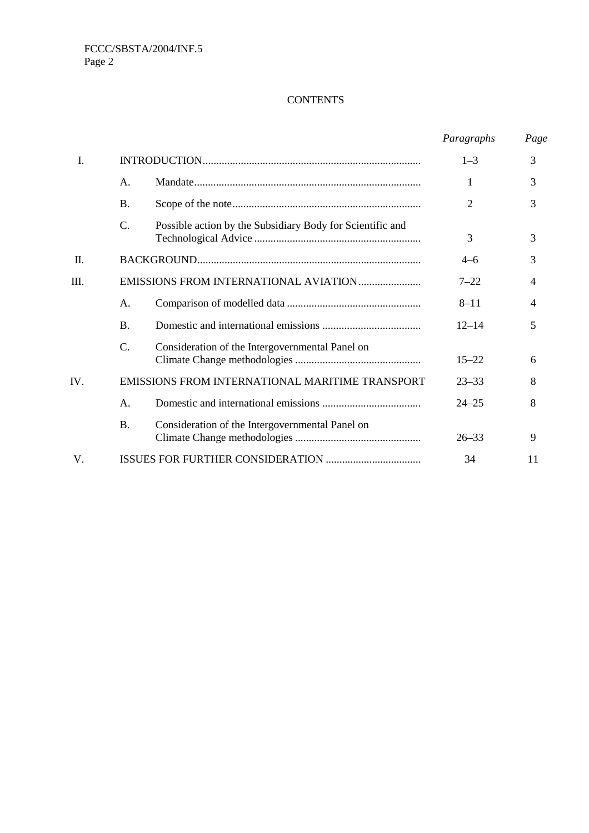## **CONTENTS**

|      |                                                 |                                                           | Paragraphs     | Page |
|------|-------------------------------------------------|-----------------------------------------------------------|----------------|------|
| I.   |                                                 |                                                           | $1 - 3$        | 3    |
|      | Α.                                              |                                                           | 1              | 3    |
|      | <b>B.</b>                                       |                                                           | $\overline{2}$ | 3    |
|      | C.                                              | Possible action by the Subsidiary Body for Scientific and | 3              | 3    |
| Π.   |                                                 |                                                           | $4 - 6$        | 3    |
| III. | EMISSIONS FROM INTERNATIONAL AVIATION           |                                                           | $7 - 22$       | 4    |
|      | А.                                              |                                                           | $8 - 11$       | 4    |
|      | <b>B.</b>                                       |                                                           | $12 - 14$      | 5    |
|      | C.                                              | Consideration of the Intergovernmental Panel on           | $15 - 22$      | 6    |
| IV.  | EMISSIONS FROM INTERNATIONAL MARITIME TRANSPORT |                                                           | $23 - 33$      | 8    |
|      | A.                                              |                                                           | $24 - 25$      | 8    |
|      | <b>B.</b>                                       | Consideration of the Intergovernmental Panel on           | $26 - 33$      | 9    |
| V.   |                                                 |                                                           | 34             | 11   |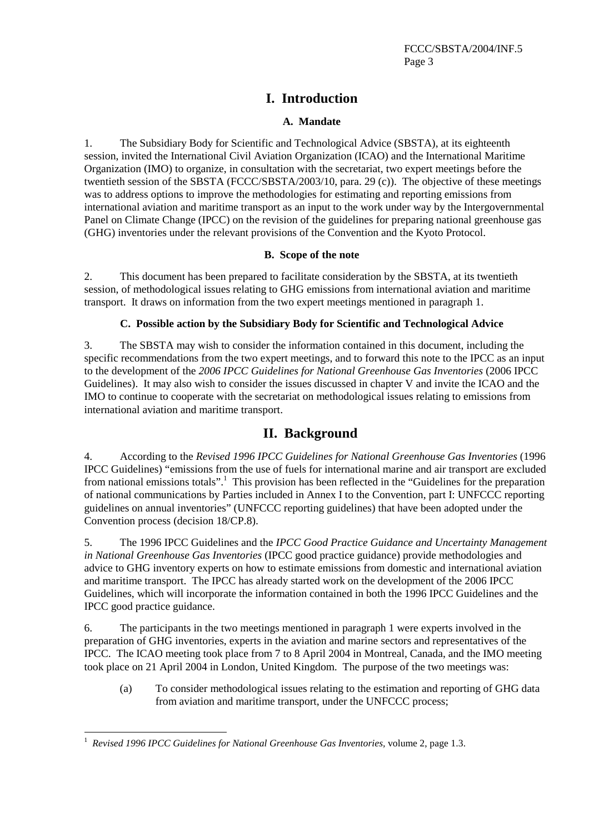# **I. Introduction**

## **A. Mandate**

1. The Subsidiary Body for Scientific and Technological Advice (SBSTA), at its eighteenth session, invited the International Civil Aviation Organization (ICAO) and the International Maritime Organization (IMO) to organize, in consultation with the secretariat, two expert meetings before the twentieth session of the SBSTA (FCCC/SBSTA/2003/10, para. 29 (c)). The objective of these meetings was to address options to improve the methodologies for estimating and reporting emissions from international aviation and maritime transport as an input to the work under way by the Intergovernmental Panel on Climate Change (IPCC) on the revision of the guidelines for preparing national greenhouse gas (GHG) inventories under the relevant provisions of the Convention and the Kyoto Protocol.

### **B. Scope of the note**

2. This document has been prepared to facilitate consideration by the SBSTA, at its twentieth session, of methodological issues relating to GHG emissions from international aviation and maritime transport. It draws on information from the two expert meetings mentioned in paragraph 1.

## **C. Possible action by the Subsidiary Body for Scientific and Technological Advice**

3. The SBSTA may wish to consider the information contained in this document, including the specific recommendations from the two expert meetings, and to forward this note to the IPCC as an input to the development of the *2006 IPCC Guidelines for National Greenhouse Gas Inventories* (2006 IPCC Guidelines). It may also wish to consider the issues discussed in chapter V and invite the ICAO and the IMO to continue to cooperate with the secretariat on methodological issues relating to emissions from international aviation and maritime transport.

# **II. Background**

4. According to the *Revised 1996 IPCC Guidelines for National Greenhouse Gas Inventories* (1996 IPCC Guidelines) "emissions from the use of fuels for international marine and air transport are excluded from national emissions totals".<sup>1</sup> This provision has been reflected in the "Guidelines for the preparation of national communications by Parties included in Annex I to the Convention, part I: UNFCCC reporting guidelines on annual inventories" (UNFCCC reporting guidelines) that have been adopted under the Convention process (decision 18/CP.8).

5. The 1996 IPCC Guidelines and the *IPCC Good Practice Guidance and Uncertainty Management in National Greenhouse Gas Inventories* (IPCC good practice guidance) provide methodologies and advice to GHG inventory experts on how to estimate emissions from domestic and international aviation and maritime transport. The IPCC has already started work on the development of the 2006 IPCC Guidelines, which will incorporate the information contained in both the 1996 IPCC Guidelines and the IPCC good practice guidance.

6. The participants in the two meetings mentioned in paragraph 1 were experts involved in the preparation of GHG inventories, experts in the aviation and marine sectors and representatives of the IPCC. The ICAO meeting took place from 7 to 8 April 2004 in Montreal, Canada, and the IMO meeting took place on 21 April 2004 in London, United Kingdom. The purpose of the two meetings was:

(a) To consider methodological issues relating to the estimation and reporting of GHG data from aviation and maritime transport, under the UNFCCC process;

 $\overline{a}$ 1  *Revised 1996 IPCC Guidelines for National Greenhouse Gas Inventories,* volume 2, page 1.3.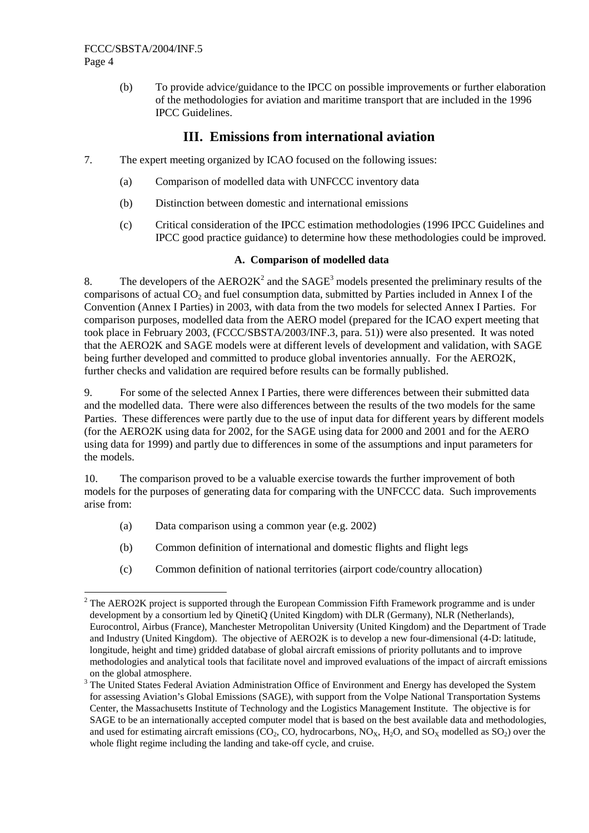(b) To provide advice/guidance to the IPCC on possible improvements or further elaboration of the methodologies for aviation and maritime transport that are included in the 1996 IPCC Guidelines.

# **III. Emissions from international aviation**

- 7. The expert meeting organized by ICAO focused on the following issues:
	- (a) Comparison of modelled data with UNFCCC inventory data
	- (b) Distinction between domestic and international emissions
	- (c) Critical consideration of the IPCC estimation methodologies (1996 IPCC Guidelines and IPCC good practice guidance) to determine how these methodologies could be improved.

## **A. Comparison of modelled data**

8. The developers of the  $AERO2K^2$  and the  $SAGE^3$  models presented the preliminary results of the comparisons of actual  $CO<sub>2</sub>$  and fuel consumption data, submitted by Parties included in Annex I of the Convention (Annex I Parties) in 2003, with data from the two models for selected Annex I Parties. For comparison purposes, modelled data from the AERO model (prepared for the ICAO expert meeting that took place in February 2003, (FCCC/SBSTA/2003/INF.3, para. 51)) were also presented. It was noted that the AERO2K and SAGE models were at different levels of development and validation, with SAGE being further developed and committed to produce global inventories annually. For the AERO2K, further checks and validation are required before results can be formally published.

9. For some of the selected Annex I Parties, there were differences between their submitted data and the modelled data. There were also differences between the results of the two models for the same Parties. These differences were partly due to the use of input data for different years by different models (for the AERO2K using data for 2002, for the SAGE using data for 2000 and 2001 and for the AERO using data for 1999) and partly due to differences in some of the assumptions and input parameters for the models.

10. The comparison proved to be a valuable exercise towards the further improvement of both models for the purposes of generating data for comparing with the UNFCCC data. Such improvements arise from:

- (a) Data comparison using a common year (e.g. 2002)
- (b) Common definition of international and domestic flights and flight legs
- (c) Common definition of national territories (airport code/country allocation)

  $2$  The AERO2K project is supported through the European Commission Fifth Framework programme and is under development by a consortium led by QinetiQ (United Kingdom) with DLR (Germany), NLR (Netherlands), Eurocontrol, Airbus (France), Manchester Metropolitan University (United Kingdom) and the Department of Trade and Industry (United Kingdom). The objective of AERO2K is to develop a new four-dimensional (4-D: latitude, longitude, height and time) gridded database of global aircraft emissions of priority pollutants and to improve methodologies and analytical tools that facilitate novel and improved evaluations of the impact of aircraft emissions on the global atmosphere.

<sup>&</sup>lt;sup>3</sup> The United States Federal Aviation Administration Office of Environment and Energy has developed the System for assessing Aviation's Global Emissions (SAGE), with support from the Volpe National Transportation Systems Center, the Massachusetts Institute of Technology and the Logistics Management Institute. The objective is for SAGE to be an internationally accepted computer model that is based on the best available data and methodologies, and used for estimating aircraft emissions (CO<sub>2</sub>, CO, hydrocarbons, NO<sub>x</sub>, H<sub>2</sub>O, and SO<sub>x</sub> modelled as SO<sub>2</sub>) over the whole flight regime including the landing and take-off cycle, and cruise.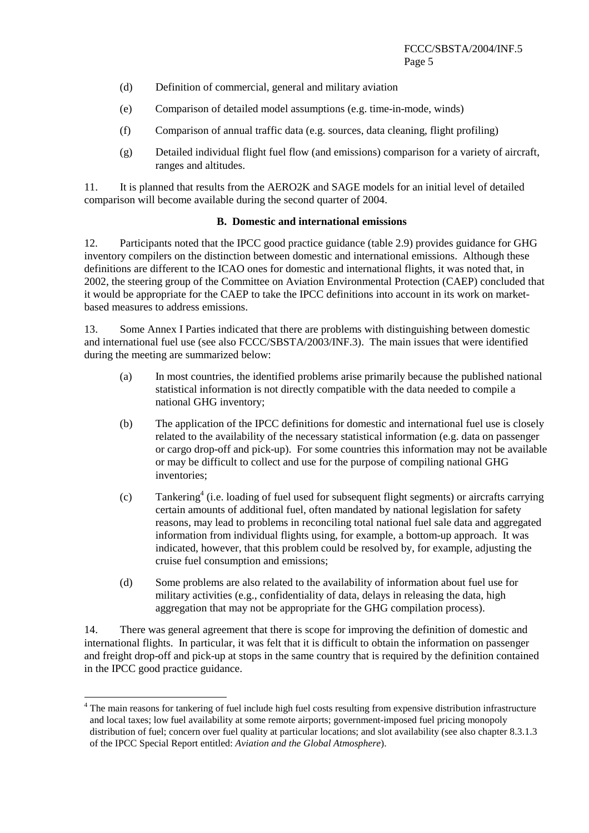- (d) Definition of commercial, general and military aviation
- (e) Comparison of detailed model assumptions (e.g. time-in-mode, winds)
- (f) Comparison of annual traffic data (e.g. sources, data cleaning, flight profiling)
- (g) Detailed individual flight fuel flow (and emissions) comparison for a variety of aircraft, ranges and altitudes.

11. It is planned that results from the AERO2K and SAGE models for an initial level of detailed comparison will become available during the second quarter of 2004.

#### **B. Domestic and international emissions**

12. Participants noted that the IPCC good practice guidance (table 2.9) provides guidance for GHG inventory compilers on the distinction between domestic and international emissions. Although these definitions are different to the ICAO ones for domestic and international flights, it was noted that, in 2002, the steering group of the Committee on Aviation Environmental Protection (CAEP) concluded that it would be appropriate for the CAEP to take the IPCC definitions into account in its work on marketbased measures to address emissions.

13. Some Annex I Parties indicated that there are problems with distinguishing between domestic and international fuel use (see also FCCC/SBSTA/2003/INF.3). The main issues that were identified during the meeting are summarized below:

- (a) In most countries, the identified problems arise primarily because the published national statistical information is not directly compatible with the data needed to compile a national GHG inventory;
- (b) The application of the IPCC definitions for domestic and international fuel use is closely related to the availability of the necessary statistical information (e.g. data on passenger or cargo drop-off and pick-up). For some countries this information may not be available or may be difficult to collect and use for the purpose of compiling national GHG inventories;
- (c) Tankering<sup>4</sup> (i.e. loading of fuel used for subsequent flight segments) or aircrafts carrying certain amounts of additional fuel, often mandated by national legislation for safety reasons, may lead to problems in reconciling total national fuel sale data and aggregated information from individual flights using, for example, a bottom-up approach. It was indicated, however, that this problem could be resolved by, for example, adjusting the cruise fuel consumption and emissions;
- (d) Some problems are also related to the availability of information about fuel use for military activities (e.g., confidentiality of data, delays in releasing the data, high aggregation that may not be appropriate for the GHG compilation process).

14. There was general agreement that there is scope for improving the definition of domestic and international flights. In particular, it was felt that it is difficult to obtain the information on passenger and freight drop-off and pick-up at stops in the same country that is required by the definition contained in the IPCC good practice guidance.

 $\overline{a}$ 

<sup>&</sup>lt;sup>4</sup> The main reasons for tankering of fuel include high fuel costs resulting from expensive distribution infrastructure and local taxes; low fuel availability at some remote airports; government-imposed fuel pricing monopoly distribution of fuel; concern over fuel quality at particular locations; and slot availability (see also chapter 8.3.1.3) of the IPCC Special Report entitled: *Aviation and the Global Atmosphere*).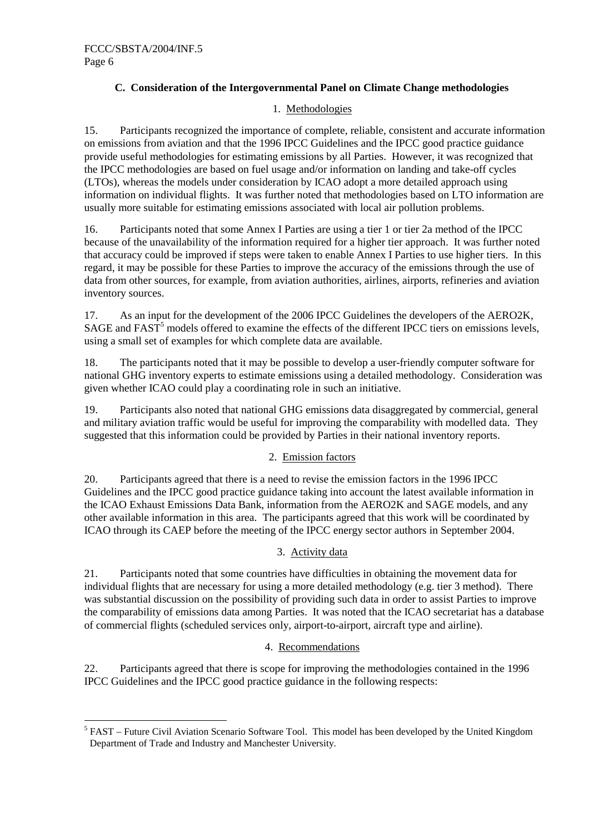## **C. Consideration of the Intergovernmental Panel on Climate Change methodologies**

### 1. Methodologies

15. Participants recognized the importance of complete, reliable, consistent and accurate information on emissions from aviation and that the 1996 IPCC Guidelines and the IPCC good practice guidance provide useful methodologies for estimating emissions by all Parties. However, it was recognized that the IPCC methodologies are based on fuel usage and/or information on landing and take-off cycles (LTOs), whereas the models under consideration by ICAO adopt a more detailed approach using information on individual flights. It was further noted that methodologies based on LTO information are usually more suitable for estimating emissions associated with local air pollution problems.

16. Participants noted that some Annex I Parties are using a tier 1 or tier 2a method of the IPCC because of the unavailability of the information required for a higher tier approach. It was further noted that accuracy could be improved if steps were taken to enable Annex I Parties to use higher tiers. In this regard, it may be possible for these Parties to improve the accuracy of the emissions through the use of data from other sources, for example, from aviation authorities, airlines, airports, refineries and aviation inventory sources.

17. As an input for the development of the 2006 IPCC Guidelines the developers of the AERO2K, SAGE and FAST<sup>5</sup> models offered to examine the effects of the different IPCC tiers on emissions levels, using a small set of examples for which complete data are available.

18. The participants noted that it may be possible to develop a user-friendly computer software for national GHG inventory experts to estimate emissions using a detailed methodology. Consideration was given whether ICAO could play a coordinating role in such an initiative.

19. Participants also noted that national GHG emissions data disaggregated by commercial, general and military aviation traffic would be useful for improving the comparability with modelled data. They suggested that this information could be provided by Parties in their national inventory reports.

### 2. Emission factors

20. Participants agreed that there is a need to revise the emission factors in the 1996 IPCC Guidelines and the IPCC good practice guidance taking into account the latest available information in the ICAO Exhaust Emissions Data Bank, information from the AERO2K and SAGE models, and any other available information in this area. The participants agreed that this work will be coordinated by ICAO through its CAEP before the meeting of the IPCC energy sector authors in September 2004.

#### 3. Activity data

21. Participants noted that some countries have difficulties in obtaining the movement data for individual flights that are necessary for using a more detailed methodology (e.g. tier 3 method). There was substantial discussion on the possibility of providing such data in order to assist Parties to improve the comparability of emissions data among Parties. It was noted that the ICAO secretariat has a database of commercial flights (scheduled services only, airport-to-airport, aircraft type and airline).

#### 4. Recommendations

22. Participants agreed that there is scope for improving the methodologies contained in the 1996 IPCC Guidelines and the IPCC good practice guidance in the following respects:

<sup>&</sup>lt;sup>5</sup> FAST – Future Civil Aviation Scenario Software Tool. This model has been developed by the United Kingdom Department of Trade and Industry and Manchester University.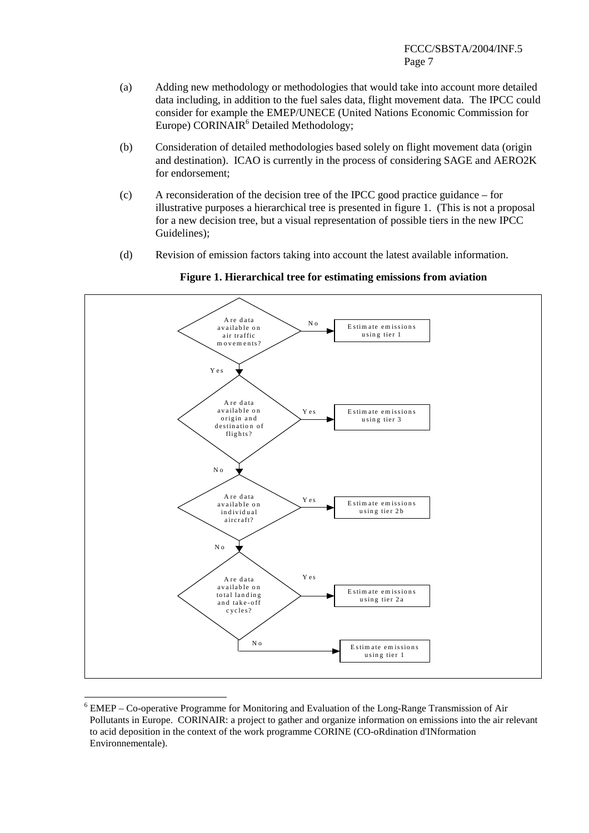#### FCCC/SBSTA/2004/INF.5 Page 7

- (a) Adding new methodology or methodologies that would take into account more detailed data including, in addition to the fuel sales data, flight movement data. The IPCC could consider for example the EMEP/UNECE (United Nations Economic Commission for Europe) CORINAIR<sup>6</sup> Detailed Methodology;
- (b) Consideration of detailed methodologies based solely on flight movement data (origin and destination). ICAO is currently in the process of considering SAGE and AERO2K for endorsement;
- (c) A reconsideration of the decision tree of the IPCC good practice guidance for illustrative purposes a hierarchical tree is presented in figure 1. (This is not a proposal for a new decision tree, but a visual representation of possible tiers in the new IPCC Guidelines);
- (d) Revision of emission factors taking into account the latest available information.



**Figure 1. Hierarchical tree for estimating emissions from aviation**

<sup>&</sup>lt;sup>6</sup> EMEP – Co-operative Programme for Monitoring and Evaluation of the Long-Range Transmission of Air Pollutants in Europe. CORINAIR: a project to gather and organize information on emissions into the air relevant to acid deposition in the context of the work programme CORINE (CO-oRdination d'INformation Environnementale).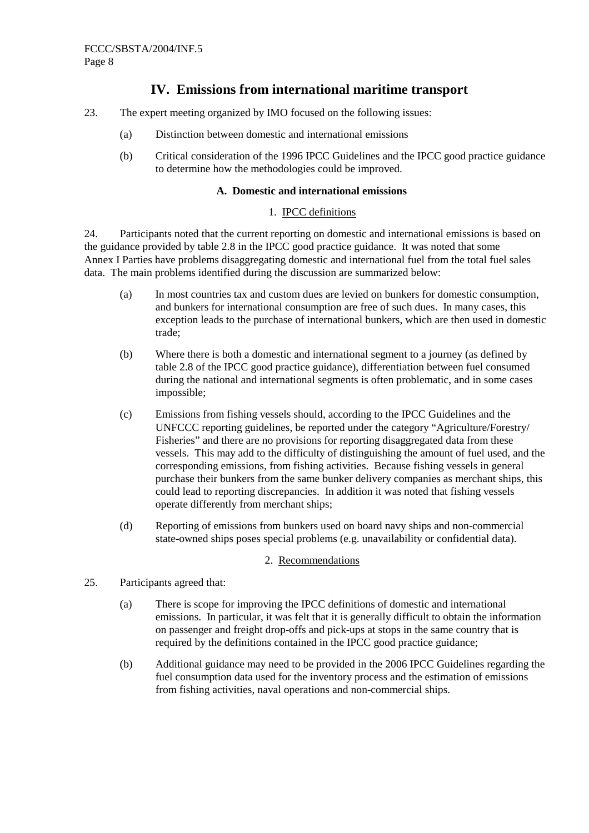## **IV. Emissions from international maritime transport**

- 23. The expert meeting organized by IMO focused on the following issues:
	- (a) Distinction between domestic and international emissions
	- (b) Critical consideration of the 1996 IPCC Guidelines and the IPCC good practice guidance to determine how the methodologies could be improved.

#### **A. Domestic and international emissions**

#### 1. IPCC definitions

24. Participants noted that the current reporting on domestic and international emissions is based on the guidance provided by table 2.8 in the IPCC good practice guidance. It was noted that some Annex I Parties have problems disaggregating domestic and international fuel from the total fuel sales data. The main problems identified during the discussion are summarized below:

- (a) In most countries tax and custom dues are levied on bunkers for domestic consumption, and bunkers for international consumption are free of such dues. In many cases, this exception leads to the purchase of international bunkers, which are then used in domestic trade;
- (b) Where there is both a domestic and international segment to a journey (as defined by table 2.8 of the IPCC good practice guidance), differentiation between fuel consumed during the national and international segments is often problematic, and in some cases impossible;
- (c) Emissions from fishing vessels should, according to the IPCC Guidelines and the UNFCCC reporting guidelines, be reported under the category "Agriculture/Forestry/ Fisheries" and there are no provisions for reporting disaggregated data from these vessels. This may add to the difficulty of distinguishing the amount of fuel used, and the corresponding emissions, from fishing activities. Because fishing vessels in general purchase their bunkers from the same bunker delivery companies as merchant ships, this could lead to reporting discrepancies. In addition it was noted that fishing vessels operate differently from merchant ships;
- (d) Reporting of emissions from bunkers used on board navy ships and non-commercial state-owned ships poses special problems (e.g. unavailability or confidential data).

#### 2. Recommendations

- 25. Participants agreed that:
	- (a) There is scope for improving the IPCC definitions of domestic and international emissions. In particular, it was felt that it is generally difficult to obtain the information on passenger and freight drop-offs and pick-ups at stops in the same country that is required by the definitions contained in the IPCC good practice guidance;
	- (b) Additional guidance may need to be provided in the 2006 IPCC Guidelines regarding the fuel consumption data used for the inventory process and the estimation of emissions from fishing activities, naval operations and non-commercial ships.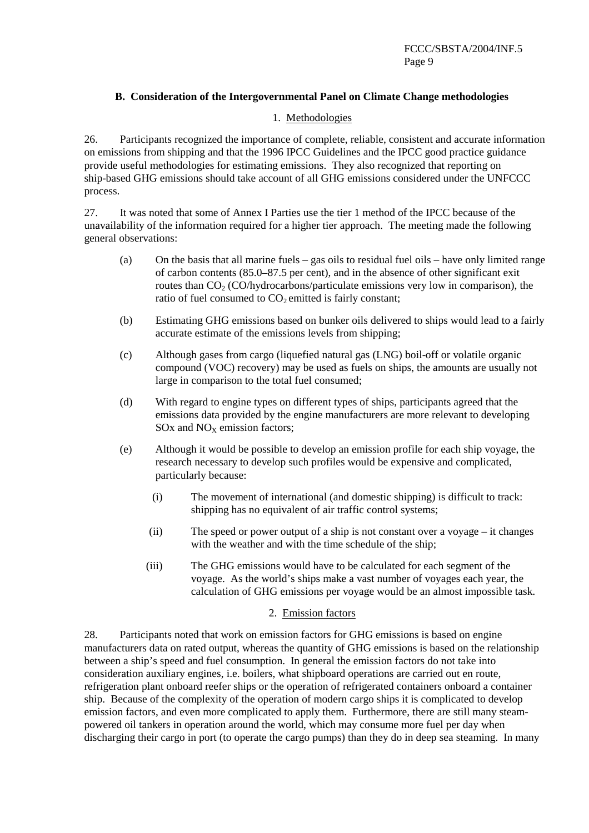### **B. Consideration of the Intergovernmental Panel on Climate Change methodologies**

#### 1. Methodologies

26. Participants recognized the importance of complete, reliable, consistent and accurate information on emissions from shipping and that the 1996 IPCC Guidelines and the IPCC good practice guidance provide useful methodologies for estimating emissions. They also recognized that reporting on ship-based GHG emissions should take account of all GHG emissions considered under the UNFCCC process.

27. It was noted that some of Annex I Parties use the tier 1 method of the IPCC because of the unavailability of the information required for a higher tier approach. The meeting made the following general observations:

- (a) On the basis that all marine fuels gas oils to residual fuel oils have only limited range of carbon contents (85.0–87.5 per cent), and in the absence of other significant exit routes than  $CO<sub>2</sub> (CO/hydrocarbons/particulate emissions very low in comparison), the$ ratio of fuel consumed to  $CO<sub>2</sub>$  emitted is fairly constant;
- (b) Estimating GHG emissions based on bunker oils delivered to ships would lead to a fairly accurate estimate of the emissions levels from shipping;
- (c) Although gases from cargo (liquefied natural gas (LNG) boil-off or volatile organic compound (VOC) recovery) may be used as fuels on ships, the amounts are usually not large in comparison to the total fuel consumed;
- (d) With regard to engine types on different types of ships, participants agreed that the emissions data provided by the engine manufacturers are more relevant to developing SOx and  $NO<sub>x</sub>$  emission factors;
- (e) Although it would be possible to develop an emission profile for each ship voyage, the research necessary to develop such profiles would be expensive and complicated, particularly because:
	- (i) The movement of international (and domestic shipping) is difficult to track: shipping has no equivalent of air traffic control systems;
	- (ii) The speed or power output of a ship is not constant over a voyage it changes with the weather and with the time schedule of the ship;
	- (iii) The GHG emissions would have to be calculated for each segment of the voyage. As the world's ships make a vast number of voyages each year, the calculation of GHG emissions per voyage would be an almost impossible task.

### 2. Emission factors

28. Participants noted that work on emission factors for GHG emissions is based on engine manufacturers data on rated output, whereas the quantity of GHG emissions is based on the relationship between a ship's speed and fuel consumption. In general the emission factors do not take into consideration auxiliary engines, i.e. boilers, what shipboard operations are carried out en route, refrigeration plant onboard reefer ships or the operation of refrigerated containers onboard a container ship. Because of the complexity of the operation of modern cargo ships it is complicated to develop emission factors, and even more complicated to apply them. Furthermore, there are still many steampowered oil tankers in operation around the world, which may consume more fuel per day when discharging their cargo in port (to operate the cargo pumps) than they do in deep sea steaming. In many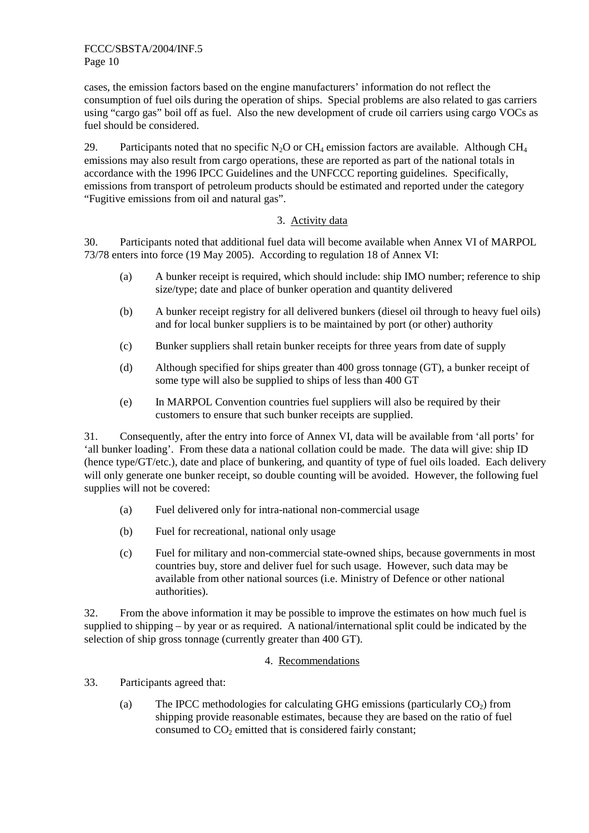cases, the emission factors based on the engine manufacturers' information do not reflect the consumption of fuel oils during the operation of ships. Special problems are also related to gas carriers using "cargo gas" boil off as fuel. Also the new development of crude oil carriers using cargo VOCs as fuel should be considered.

29. Participants noted that no specific N<sub>2</sub>O or CH<sub>4</sub> emission factors are available. Although CH<sub>4</sub> emissions may also result from cargo operations, these are reported as part of the national totals in accordance with the 1996 IPCC Guidelines and the UNFCCC reporting guidelines. Specifically, emissions from transport of petroleum products should be estimated and reported under the category "Fugitive emissions from oil and natural gas".

#### 3. Activity data

30. Participants noted that additional fuel data will become available when Annex VI of MARPOL 73/78 enters into force (19 May 2005). According to regulation 18 of Annex VI:

- (a) A bunker receipt is required, which should include: ship IMO number; reference to ship size/type; date and place of bunker operation and quantity delivered
- (b) A bunker receipt registry for all delivered bunkers (diesel oil through to heavy fuel oils) and for local bunker suppliers is to be maintained by port (or other) authority
- (c) Bunker suppliers shall retain bunker receipts for three years from date of supply
- (d) Although specified for ships greater than 400 gross tonnage (GT), a bunker receipt of some type will also be supplied to ships of less than 400 GT
- (e) In MARPOL Convention countries fuel suppliers will also be required by their customers to ensure that such bunker receipts are supplied.

31. Consequently, after the entry into force of Annex VI, data will be available from 'all ports' for 'all bunker loading'. From these data a national collation could be made. The data will give: ship ID (hence type/GT/etc.), date and place of bunkering, and quantity of type of fuel oils loaded. Each delivery will only generate one bunker receipt, so double counting will be avoided. However, the following fuel supplies will not be covered:

- (a) Fuel delivered only for intra-national non-commercial usage
- (b) Fuel for recreational, national only usage
- (c) Fuel for military and non-commercial state-owned ships, because governments in most countries buy, store and deliver fuel for such usage. However, such data may be available from other national sources (i.e. Ministry of Defence or other national authorities).

32. From the above information it may be possible to improve the estimates on how much fuel is supplied to shipping – by year or as required. A national/international split could be indicated by the selection of ship gross tonnage (currently greater than 400 GT).

#### 4. Recommendations

33. Participants agreed that:

(a) The IPCC methodologies for calculating GHG emissions (particularly  $CO<sub>2</sub>$ ) from shipping provide reasonable estimates, because they are based on the ratio of fuel consumed to  $CO<sub>2</sub>$  emitted that is considered fairly constant;